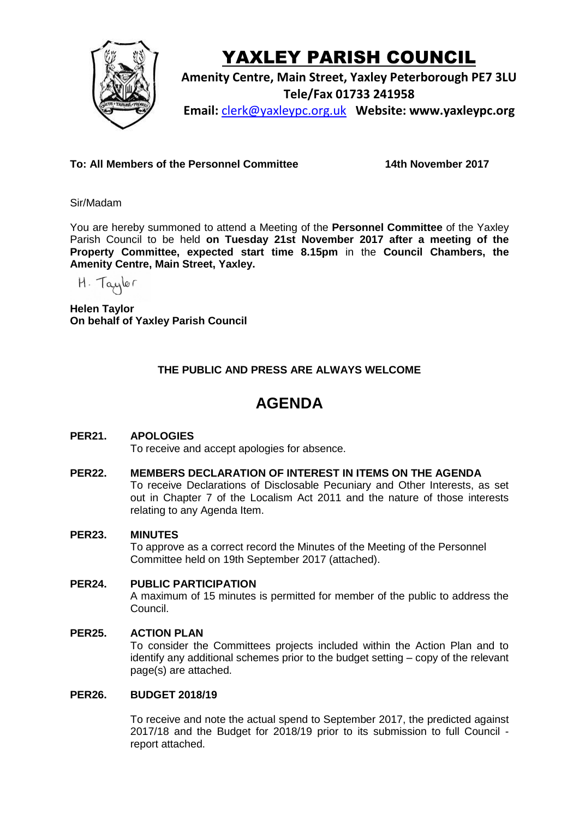

# YAXLEY PARISH COUNCIL

**Amenity Centre, Main Street, Yaxley Peterborough PE7 3LU Tele/Fax 01733 241958 Email:** [clerk@yaxleypc.org.uk](mailto:clerk@yaxleypc.org.uk) **Website: www.yaxleypc.org**

**To: All Members of the Personnel Committee 14th November 2017**

Sir/Madam

You are hereby summoned to attend a Meeting of the **Personnel Committee** of the Yaxley Parish Council to be held **on Tuesday 21st November 2017 after a meeting of the Property Committee, expected start time 8.15pm** in the **Council Chambers, the Amenity Centre, Main Street, Yaxley.**

H. Taylor

**Helen Taylor On behalf of Yaxley Parish Council**

## **THE PUBLIC AND PRESS ARE ALWAYS WELCOME**

# **AGENDA**

### **PER21. APOLOGIES**

To receive and accept apologies for absence.

#### **PER22. MEMBERS DECLARATION OF INTEREST IN ITEMS ON THE AGENDA**

To receive Declarations of Disclosable Pecuniary and Other Interests, as set out in Chapter 7 of the Localism Act 2011 and the nature of those interests relating to any Agenda Item.

#### **PER23. MINUTES**

To approve as a correct record the Minutes of the Meeting of the Personnel Committee held on 19th September 2017 (attached).

#### **PER24. PUBLIC PARTICIPATION**

A maximum of 15 minutes is permitted for member of the public to address the Council.

#### **PER25. ACTION PLAN**

To consider the Committees projects included within the Action Plan and to identify any additional schemes prior to the budget setting – copy of the relevant page(s) are attached.

#### **PER26. BUDGET 2018/19**

To receive and note the actual spend to September 2017, the predicted against 2017/18 and the Budget for 2018/19 prior to its submission to full Council report attached.